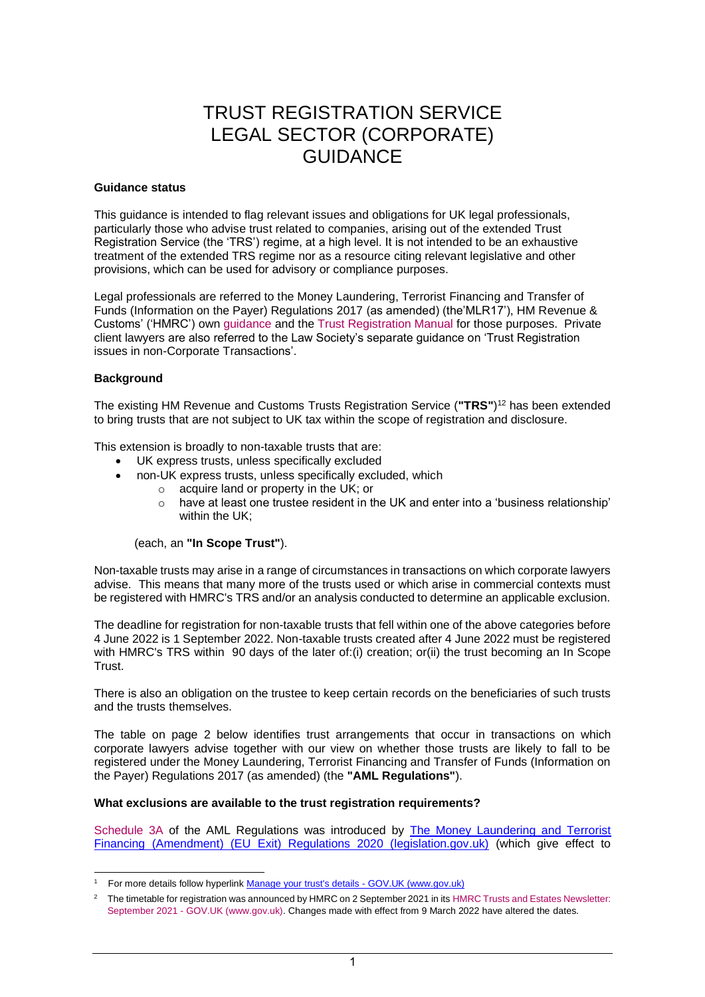#### **Guidance status**

This guidance is intended to flag relevant issues and obligations for UK legal professionals, particularly those who advise trust related to companies, arising out of the extended Trust Registration Service (the 'TRS') regime, at a high level. It is not intended to be an exhaustive treatment of the extended TRS regime nor as a resource citing relevant legislative and other provisions, which can be used for advisory or compliance purposes.

Legal professionals are referred to the Money Laundering, Terrorist Financing and Transfer of Funds (Information on the Payer) Regulations 2017 (as amended) (the'MLR17'), HM Revenue & Customs' ('HMRC') own [guidance](https://www.gov.uk/guidance/trust-registration-extension-an-overview) and the [Trust Registration Manual](https://www.gov.uk/hmrc-internal-manuals/trust-registration-service-manual) for those purposes. Private client lawyers are also referred to the Law Society's separate guidance on 'Trust Registration issues in non-Corporate Transactions'.

#### **Background**

The existing HM Revenue and Customs Trusts Registration Service (**"TRS"**) <sup>12</sup> has been extended to bring trusts that are not subject to UK tax within the scope of registration and disclosure.

This extension is broadly to non-taxable trusts that are:

- UK express trusts, unless specifically excluded
- non-UK express trusts, unless specifically excluded, which
	- $\circ$  acquire land or property in the UK; or
		- o have at least one trustee resident in the UK and enter into a 'business relationship' within the UK;

#### (each, an **"In Scope Trust"**).

Non-taxable trusts may arise in a range of circumstances in transactions on which corporate lawyers advise. This means that many more of the trusts used or which arise in commercial contexts must be registered with HMRC's TRS and/or an analysis conducted to determine an applicable exclusion.

The deadline for registration for non-taxable trusts that fell within one of the above categories before 4 June 2022 is 1 September 2022. Non-taxable trusts created after 4 June 2022 must be registered with HMRC's TRS within 90 days of the later of:(i) creation; or(ii) the trust becoming an In Scope Trust.

There is also an obligation on the trustee to keep certain records on the beneficiaries of such trusts and the trusts themselves.

The table on page 2 below identifies trust arrangements that occur in transactions on which corporate lawyers advise together with our view on whether those trusts are likely to fall to be registered under the Money Laundering, Terrorist Financing and Transfer of Funds (Information on the Payer) Regulations 2017 (as amended) (the **"AML Regulations"**).

#### **What exclusions are available to the trust registration requirements?**

[Schedule 3A](https://www.legislation.gov.uk/uksi/2017/692/schedule/3A) of the AML Regulations was introduced by [The Money Laundering and Terrorist](https://www.legislation.gov.uk/uksi/2020/991/contents/made)  [Financing \(Amendment\) \(EU Exit\) Regulations 2020 \(legislation.gov.uk\)](https://www.legislation.gov.uk/uksi/2020/991/contents/made) (which give effect to

<sup>1</sup> For more details follow hyperlink [Manage your trust's details -](https://www.gov.uk/guidance/manage-your-trusts-registration-service) GOV.UK (www.gov.uk)

<sup>&</sup>lt;sup>2</sup> The timetable for registration was announced by HMRC on 2 September 2021 in its HMRC Trusts and Estates Newsletter: September 2021 - [GOV.UK \(www.gov.uk\).](https://www.gov.uk/government/publications/hm-revenue-and-customs-trusts-and-estates-newsletters/hmrc-trusts-and-estates-newsletter-september-2021) Changes made with effect from 9 March 2022 have altered the dates.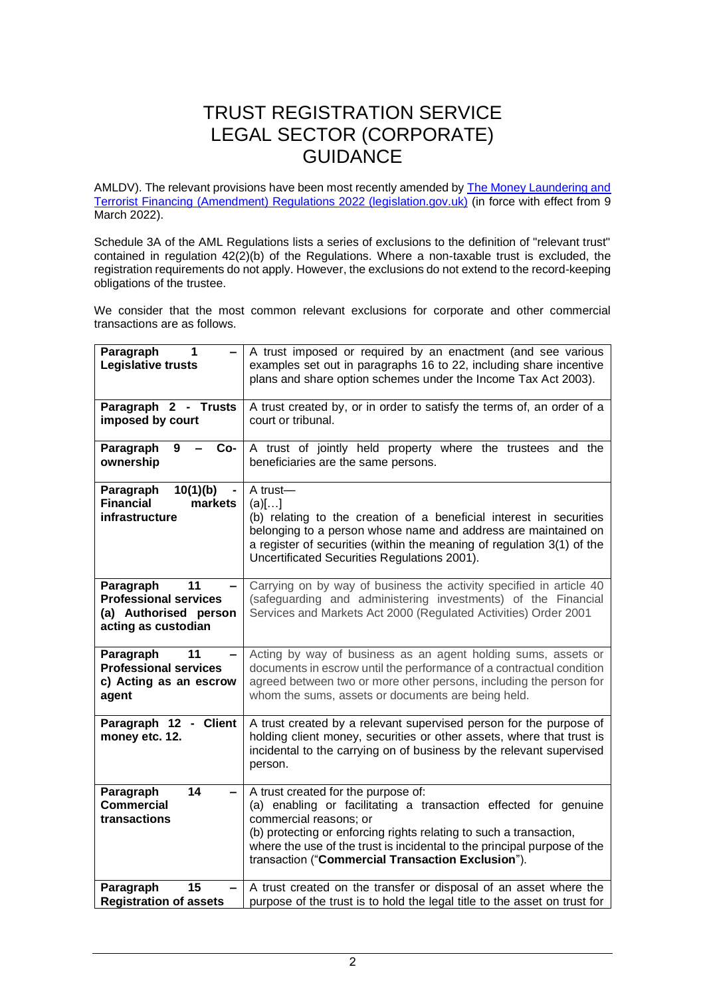AMLDV). The relevant provisions have been most recently amended by **The Money Laundering and** [Terrorist Financing \(Amendment\) Regulations 2022 \(legislation.gov.uk\)](https://www.legislation.gov.uk/uksi/2022/137/contents/made) (in force with effect from 9 March 2022).

Schedule 3A of the AML Regulations lists a series of exclusions to the definition of "relevant trust" contained in regulation  $42(2)(b)$  of the Regulations. Where a non-taxable trust is excluded, the registration requirements do not apply. However, the exclusions do not extend to the record-keeping obligations of the trustee.

We consider that the most common relevant exclusions for corporate and other commercial transactions are as follows.

| Paragraph<br>1<br>Legislative trusts                                                            | A trust imposed or required by an enactment (and see various<br>examples set out in paragraphs 16 to 22, including share incentive<br>plans and share option schemes under the Income Tax Act 2003).                                                                                                                                    |
|-------------------------------------------------------------------------------------------------|-----------------------------------------------------------------------------------------------------------------------------------------------------------------------------------------------------------------------------------------------------------------------------------------------------------------------------------------|
| Paragraph 2 - Trusts<br>imposed by court                                                        | A trust created by, or in order to satisfy the terms of, an order of a<br>court or tribunal.                                                                                                                                                                                                                                            |
| Paragraph<br>9<br>Co-<br>ownership                                                              | A trust of jointly held property where the trustees and the<br>beneficiaries are the same persons.                                                                                                                                                                                                                                      |
| Paragraph<br>10(1)(b)<br><b>Financial</b><br>markets<br>infrastructure                          | A trust-<br>(a)[]<br>(b) relating to the creation of a beneficial interest in securities<br>belonging to a person whose name and address are maintained on<br>a register of securities (within the meaning of regulation 3(1) of the<br>Uncertificated Securities Regulations 2001).                                                    |
| Paragraph<br>11<br><b>Professional services</b><br>(a) Authorised person<br>acting as custodian | Carrying on by way of business the activity specified in article 40<br>(safeguarding and administering investments) of the Financial<br>Services and Markets Act 2000 (Regulated Activities) Order 2001                                                                                                                                 |
| Paragraph<br>11<br><b>Professional services</b><br>c) Acting as an escrow<br>agent              | Acting by way of business as an agent holding sums, assets or<br>documents in escrow until the performance of a contractual condition<br>agreed between two or more other persons, including the person for<br>whom the sums, assets or documents are being held.                                                                       |
| Paragraph 12 - Client<br>money etc. 12.                                                         | A trust created by a relevant supervised person for the purpose of<br>holding client money, securities or other assets, where that trust is<br>incidental to the carrying on of business by the relevant supervised<br>person.                                                                                                          |
| 14<br>Paragraph<br><b>Commercial</b><br>transactions                                            | A trust created for the purpose of:<br>(a) enabling or facilitating a transaction effected for genuine<br>commercial reasons; or<br>(b) protecting or enforcing rights relating to such a transaction,<br>where the use of the trust is incidental to the principal purpose of the<br>transaction ("Commercial Transaction Exclusion"). |
| 15<br>Paragraph<br><b>Registration of assets</b>                                                | A trust created on the transfer or disposal of an asset where the<br>purpose of the trust is to hold the legal title to the asset on trust for                                                                                                                                                                                          |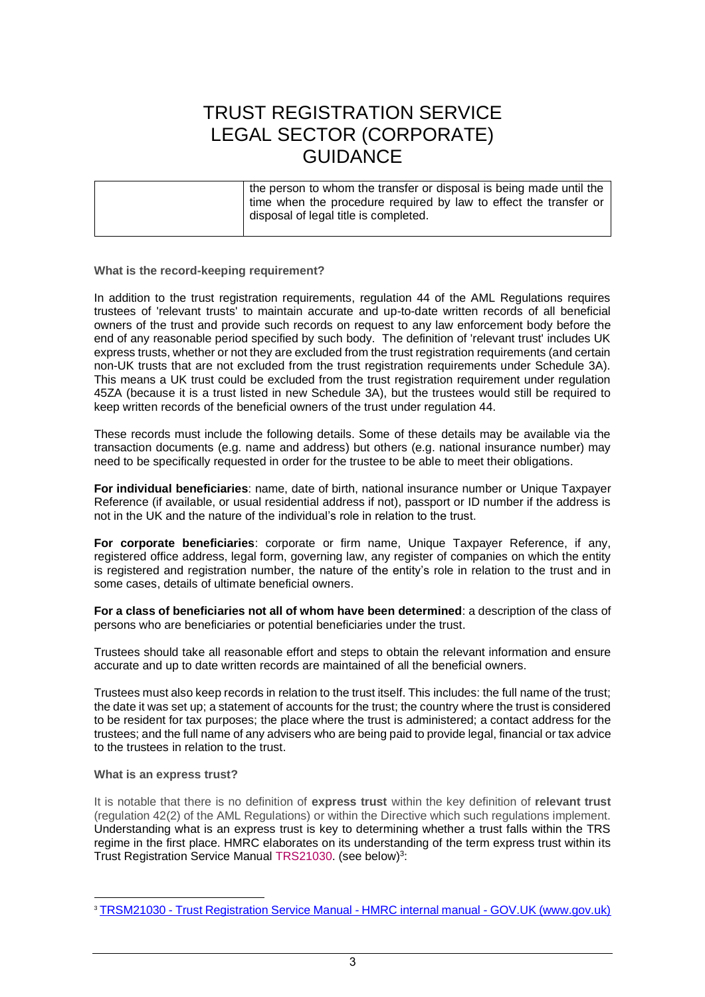#### **What is the record-keeping requirement?**

In addition to the trust registration requirements, regulation 44 of the AML Regulations requires trustees of 'relevant trusts' to maintain accurate and up-to-date written records of all beneficial owners of the trust and provide such records on request to any law enforcement body before the end of any reasonable period specified by such body. The definition of 'relevant trust' includes UK express trusts, whether or not they are excluded from the trust registration requirements (and certain non-UK trusts that are not excluded from the trust registration requirements under Schedule 3A). This means a UK trust could be excluded from the trust registration requirement under regulation 45ZA (because it is a trust listed in new Schedule 3A), but the trustees would still be required to keep written records of the beneficial owners of the trust under regulation 44.

These records must include the following details. Some of these details may be available via the transaction documents (e.g. name and address) but others (e.g. national insurance number) may need to be specifically requested in order for the trustee to be able to meet their obligations.

**For individual beneficiaries**: name, date of birth, national insurance number or Unique Taxpayer Reference (if available, or usual residential address if not), passport or ID number if the address is not in the UK and the nature of the individual's role in relation to the trust.

**For corporate beneficiaries**: corporate or firm name, Unique Taxpayer Reference, if any, registered office address, legal form, governing law, any register of companies on which the entity is registered and registration number, the nature of the entity's role in relation to the trust and in some cases, details of ultimate beneficial owners.

**For a class of beneficiaries not all of whom have been determined**: a description of the class of persons who are beneficiaries or potential beneficiaries under the trust.

Trustees should take all reasonable effort and steps to obtain the relevant information and ensure accurate and up to date written records are maintained of all the beneficial owners.

Trustees must also keep records in relation to the trust itself. This includes: the full name of the trust; the date it was set up; a statement of accounts for the trust; the country where the trust is considered to be resident for tax purposes; the place where the trust is administered; a contact address for the trustees; and the full name of any advisers who are being paid to provide legal, financial or tax advice to the trustees in relation to the trust.

#### **What is an express trust?**

It is notable that there is no definition of **express trust** within the key definition of **relevant trust**  (regulation 42(2) of the AML Regulations) or within the Directive which such regulations implement. Understanding what is an express trust is key to determining whether a trust falls within the TRS regime in the first place. HMRC elaborates on its understanding of the term express trust within its Trust Registration Service Manual [TRS21030.](https://www.gov.uk/hmrc-internal-manuals/trust-registration-service-manual/trsm21030) (see below)<sup>3</sup>:

<sup>&</sup>lt;sup>3</sup> TRSM21030 - [Trust Registration Service Manual -](https://www.gov.uk/hmrc-internal-manuals/trust-registration-service-manual/trsm21030) HMRC internal manual - GOV.UK (www.gov.uk)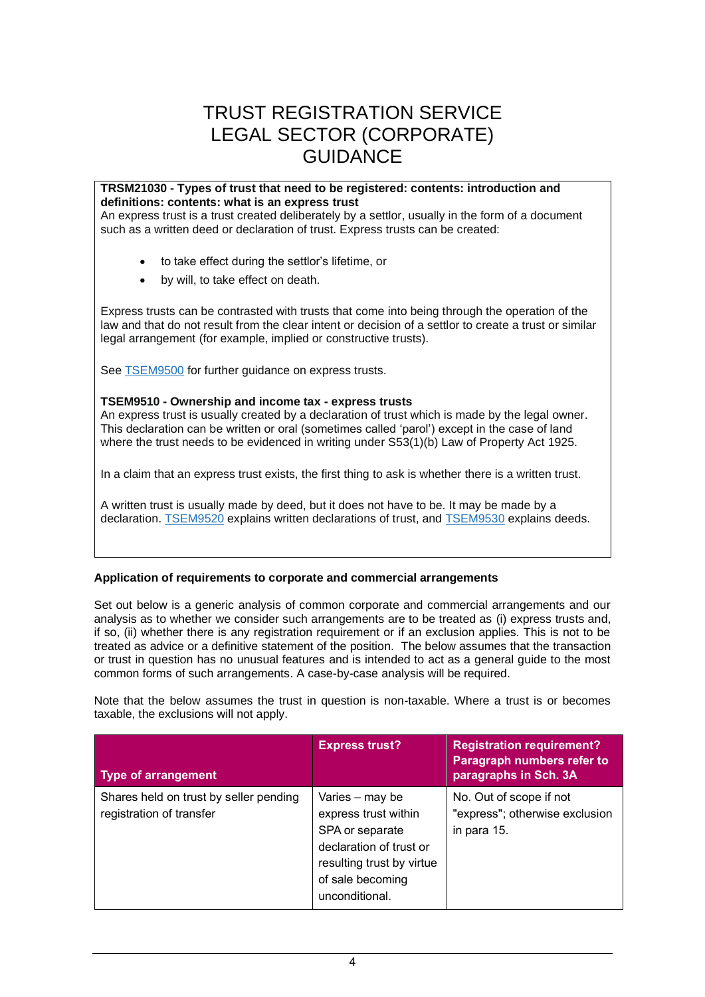#### **TRSM21030 - Types of trust that need to be registered: contents: introduction and definitions: contents: what is an express trust**

An express trust is a trust created deliberately by a settlor, usually in the form of a document such as a written deed or declaration of trust. Express trusts can be created:

- to take effect during the settlor's lifetime, or
- by will, to take effect on death.

Express trusts can be contrasted with trusts that come into being through the operation of the law and that do not result from the clear intent or decision of a settlor to create a trust or similar legal arrangement (for example, implied or constructive trusts).

See [TSEM9500](https://www.gov.uk/hmrc-internal-manuals/trusts-settlements-and-estates-manual/tsem9500) for further guidance on express trusts.

#### **TSEM9510 - Ownership and income tax - express trusts**

An express trust is usually created by a declaration of trust which is made by the legal owner. This declaration can be written or oral (sometimes called 'parol') except in the case of land where the trust needs to be evidenced in writing under S53(1)(b) Law of Property Act 1925.

In a claim that an express trust exists, the first thing to ask is whether there is a written trust.

A written trust is usually made by deed, but it does not have to be. It may be made by a declaration. [TSEM9520](https://www.gov.uk/hmrc-internal-manuals/trusts-settlements-and-estates-manual/tsem9520) explains written declarations of trust, and [TSEM9530](https://www.gov.uk/hmrc-internal-manuals/trusts-settlements-and-estates-manual/tsem9530) explains deeds.

#### **Application of requirements to corporate and commercial arrangements**

Set out below is a generic analysis of common corporate and commercial arrangements and our analysis as to whether we consider such arrangements are to be treated as (i) express trusts and, if so, (ii) whether there is any registration requirement or if an exclusion applies. This is not to be treated as advice or a definitive statement of the position. The below assumes that the transaction or trust in question has no unusual features and is intended to act as a general guide to the most common forms of such arrangements. A case-by-case analysis will be required.

Note that the below assumes the trust in question is non-taxable. Where a trust is or becomes taxable, the exclusions will not apply.

| <b>Type of arrangement</b>                                         | <b>Express trust?</b>                                                                                                                                    | <b>Registration requirement?</b><br>Paragraph numbers refer to<br>paragraphs in Sch. 3A |
|--------------------------------------------------------------------|----------------------------------------------------------------------------------------------------------------------------------------------------------|-----------------------------------------------------------------------------------------|
| Shares held on trust by seller pending<br>registration of transfer | Varies - may be<br>express trust within<br>SPA or separate<br>declaration of trust or<br>resulting trust by virtue<br>of sale becoming<br>unconditional. | No. Out of scope if not<br>"express"; otherwise exclusion<br>in para 15.                |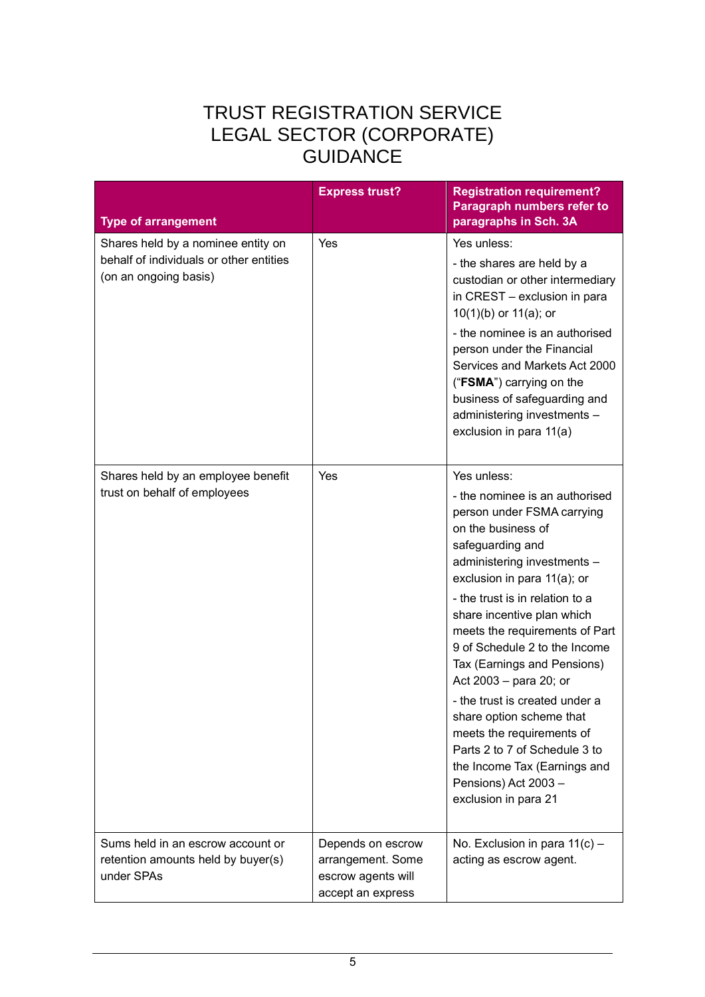| <b>Type of arrangement</b>                                                                             | <b>Express trust?</b>                                                             | <b>Registration requirement?</b><br>Paragraph numbers refer to<br>paragraphs in Sch. 3A                                                                                                                                                                                                                                                                                                                                                                                                                                                                                                      |
|--------------------------------------------------------------------------------------------------------|-----------------------------------------------------------------------------------|----------------------------------------------------------------------------------------------------------------------------------------------------------------------------------------------------------------------------------------------------------------------------------------------------------------------------------------------------------------------------------------------------------------------------------------------------------------------------------------------------------------------------------------------------------------------------------------------|
| Shares held by a nominee entity on<br>behalf of individuals or other entities<br>(on an ongoing basis) | Yes                                                                               | Yes unless:<br>- the shares are held by a<br>custodian or other intermediary<br>in CREST - exclusion in para<br>$10(1)(b)$ or $11(a)$ ; or<br>- the nominee is an authorised<br>person under the Financial<br>Services and Markets Act 2000<br>("FSMA") carrying on the<br>business of safeguarding and<br>administering investments -<br>exclusion in para 11(a)                                                                                                                                                                                                                            |
| Shares held by an employee benefit<br>trust on behalf of employees                                     | Yes                                                                               | Yes unless:<br>- the nominee is an authorised<br>person under FSMA carrying<br>on the business of<br>safeguarding and<br>administering investments -<br>exclusion in para 11(a); or<br>- the trust is in relation to a<br>share incentive plan which<br>meets the requirements of Part<br>9 of Schedule 2 to the Income<br>Tax (Earnings and Pensions)<br>Act 2003 - para 20; or<br>- the trust is created under a<br>share option scheme that<br>meets the requirements of<br>Parts 2 to 7 of Schedule 3 to<br>the Income Tax (Earnings and<br>Pensions) Act 2003 -<br>exclusion in para 21 |
| Sums held in an escrow account or<br>retention amounts held by buyer(s)<br>under SPAs                  | Depends on escrow<br>arrangement. Some<br>escrow agents will<br>accept an express | No. Exclusion in para $11(c)$ -<br>acting as escrow agent.                                                                                                                                                                                                                                                                                                                                                                                                                                                                                                                                   |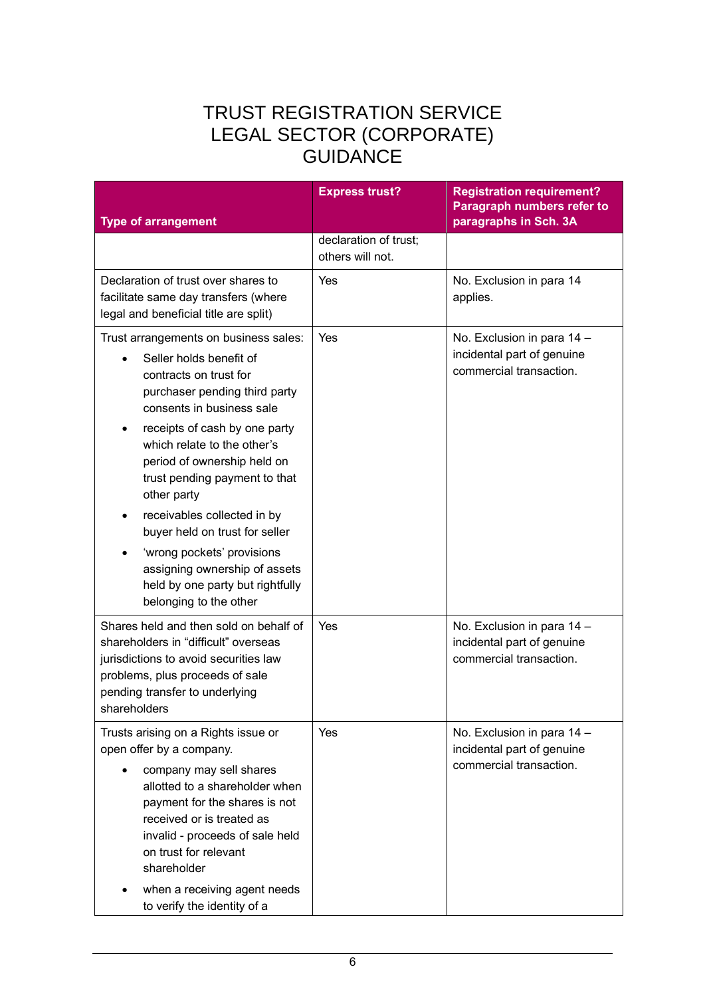| <b>Type of arrangement</b>                                                                                                                                                                                                                                                                                                                                                                                                                                                                            | <b>Express trust?</b>                     | <b>Registration requirement?</b><br>Paragraph numbers refer to<br>paragraphs in Sch. 3A |
|-------------------------------------------------------------------------------------------------------------------------------------------------------------------------------------------------------------------------------------------------------------------------------------------------------------------------------------------------------------------------------------------------------------------------------------------------------------------------------------------------------|-------------------------------------------|-----------------------------------------------------------------------------------------|
|                                                                                                                                                                                                                                                                                                                                                                                                                                                                                                       | declaration of trust;<br>others will not. |                                                                                         |
| Declaration of trust over shares to<br>facilitate same day transfers (where<br>legal and beneficial title are split)                                                                                                                                                                                                                                                                                                                                                                                  | Yes                                       | No. Exclusion in para 14<br>applies.                                                    |
| Trust arrangements on business sales:<br>Seller holds benefit of<br>contracts on trust for<br>purchaser pending third party<br>consents in business sale<br>receipts of cash by one party<br>which relate to the other's<br>period of ownership held on<br>trust pending payment to that<br>other party<br>receivables collected in by<br>buyer held on trust for seller<br>'wrong pockets' provisions<br>assigning ownership of assets<br>held by one party but rightfully<br>belonging to the other | Yes                                       | No. Exclusion in para 14 -<br>incidental part of genuine<br>commercial transaction.     |
| Shares held and then sold on behalf of<br>shareholders in "difficult" overseas<br>jurisdictions to avoid securities law<br>problems, plus proceeds of sale<br>pending transfer to underlying<br>shareholders                                                                                                                                                                                                                                                                                          | Yes                                       | No. Exclusion in para 14 -<br>incidental part of genuine<br>commercial transaction.     |
| Trusts arising on a Rights issue or<br>open offer by a company.<br>company may sell shares<br>allotted to a shareholder when<br>payment for the shares is not<br>received or is treated as<br>invalid - proceeds of sale held<br>on trust for relevant<br>shareholder<br>when a receiving agent needs<br>to verify the identity of a                                                                                                                                                                  | Yes                                       | No. Exclusion in para 14 -<br>incidental part of genuine<br>commercial transaction.     |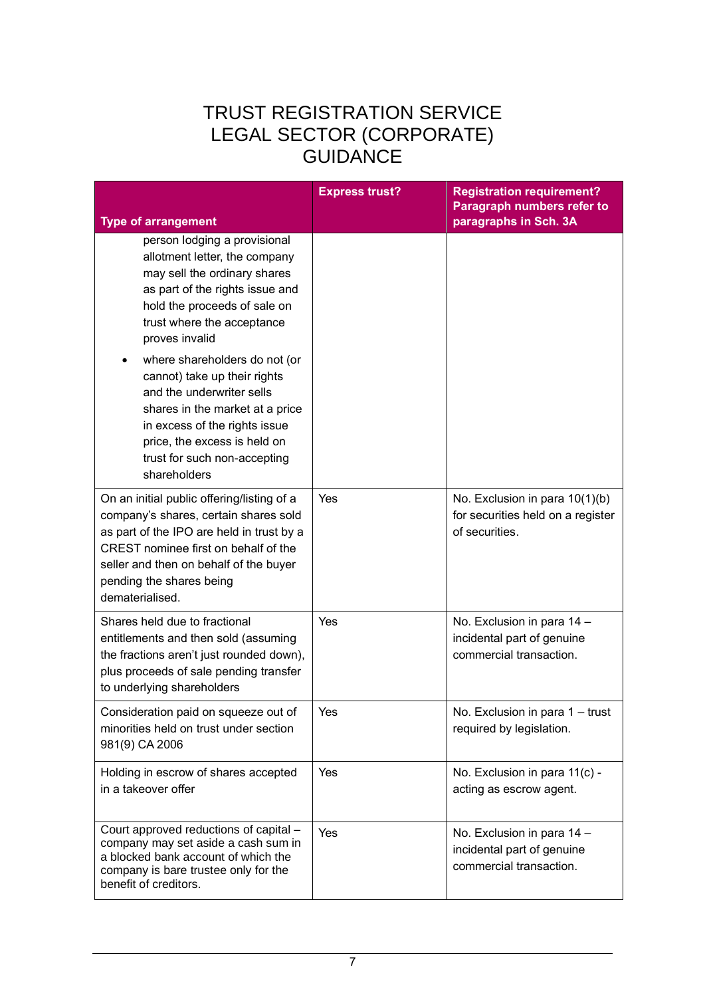|                                                                                                                                                                                                                                                                   | <b>Express trust?</b> | <b>Registration requirement?</b><br>Paragraph numbers refer to<br>paragraphs in Sch. 3A |
|-------------------------------------------------------------------------------------------------------------------------------------------------------------------------------------------------------------------------------------------------------------------|-----------------------|-----------------------------------------------------------------------------------------|
| <b>Type of arrangement</b><br>person lodging a provisional<br>allotment letter, the company<br>may sell the ordinary shares<br>as part of the rights issue and<br>hold the proceeds of sale on<br>trust where the acceptance<br>proves invalid                    |                       |                                                                                         |
| where shareholders do not (or<br>cannot) take up their rights<br>and the underwriter sells<br>shares in the market at a price<br>in excess of the rights issue<br>price, the excess is held on<br>trust for such non-accepting<br>shareholders                    |                       |                                                                                         |
| On an initial public offering/listing of a<br>company's shares, certain shares sold<br>as part of the IPO are held in trust by a<br>CREST nominee first on behalf of the<br>seller and then on behalf of the buyer<br>pending the shares being<br>dematerialised. | Yes                   | No. Exclusion in para 10(1)(b)<br>for securities held on a register<br>of securities.   |
| Shares held due to fractional<br>entitlements and then sold (assuming<br>the fractions aren't just rounded down),<br>plus proceeds of sale pending transfer<br>to underlying shareholders                                                                         | Yes                   | No. Exclusion in para 14 -<br>incidental part of genuine<br>commercial transaction.     |
| Consideration paid on squeeze out of<br>minorities held on trust under section<br>981(9) CA 2006                                                                                                                                                                  | Yes                   | No. Exclusion in para 1 - trust<br>required by legislation.                             |
| Holding in escrow of shares accepted<br>in a takeover offer                                                                                                                                                                                                       | Yes                   | No. Exclusion in para 11(c) -<br>acting as escrow agent.                                |
| Court approved reductions of capital -<br>company may set aside a cash sum in<br>a blocked bank account of which the<br>company is bare trustee only for the<br>benefit of creditors.                                                                             | Yes                   | No. Exclusion in para 14 -<br>incidental part of genuine<br>commercial transaction.     |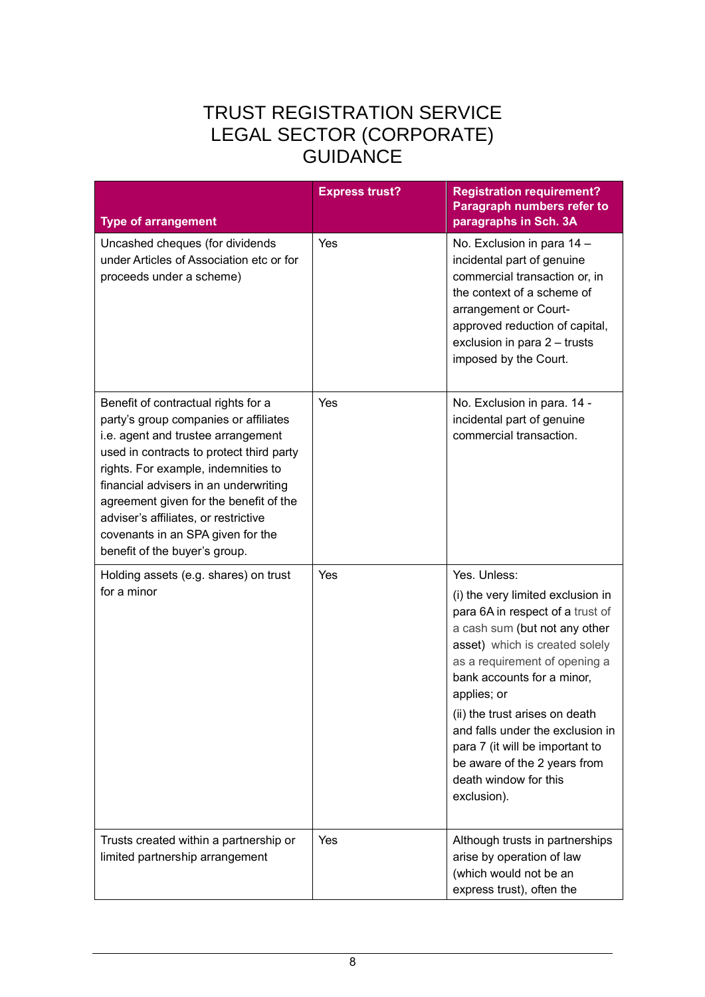| <b>Type of arrangement</b>                                                                                                                                                                                                                                                                                                                                                                             | <b>Express trust?</b> | <b>Registration requirement?</b><br>Paragraph numbers refer to<br>paragraphs in Sch. 3A                                                                                                                                                                                                                                                                                                                                 |
|--------------------------------------------------------------------------------------------------------------------------------------------------------------------------------------------------------------------------------------------------------------------------------------------------------------------------------------------------------------------------------------------------------|-----------------------|-------------------------------------------------------------------------------------------------------------------------------------------------------------------------------------------------------------------------------------------------------------------------------------------------------------------------------------------------------------------------------------------------------------------------|
| Uncashed cheques (for dividends<br>under Articles of Association etc or for<br>proceeds under a scheme)                                                                                                                                                                                                                                                                                                | Yes                   | No. Exclusion in para 14 -<br>incidental part of genuine<br>commercial transaction or, in<br>the context of a scheme of<br>arrangement or Court-<br>approved reduction of capital,<br>exclusion in para 2 - trusts<br>imposed by the Court.                                                                                                                                                                             |
| Benefit of contractual rights for a<br>party's group companies or affiliates<br>i.e. agent and trustee arrangement<br>used in contracts to protect third party<br>rights. For example, indemnities to<br>financial advisers in an underwriting<br>agreement given for the benefit of the<br>adviser's affiliates, or restrictive<br>covenants in an SPA given for the<br>benefit of the buyer's group. | Yes                   | No. Exclusion in para. 14 -<br>incidental part of genuine<br>commercial transaction.                                                                                                                                                                                                                                                                                                                                    |
| Holding assets (e.g. shares) on trust<br>for a minor                                                                                                                                                                                                                                                                                                                                                   | Yes                   | Yes. Unless:<br>(i) the very limited exclusion in<br>para 6A in respect of a trust of<br>a cash sum (but not any other<br>asset) which is created solely<br>as a requirement of opening a<br>bank accounts for a minor,<br>applies; or<br>(ii) the trust arises on death<br>and falls under the exclusion in<br>para 7 (it will be important to<br>be aware of the 2 years from<br>death window for this<br>exclusion). |
| Trusts created within a partnership or<br>limited partnership arrangement                                                                                                                                                                                                                                                                                                                              | Yes                   | Although trusts in partnerships<br>arise by operation of law<br>(which would not be an<br>express trust), often the                                                                                                                                                                                                                                                                                                     |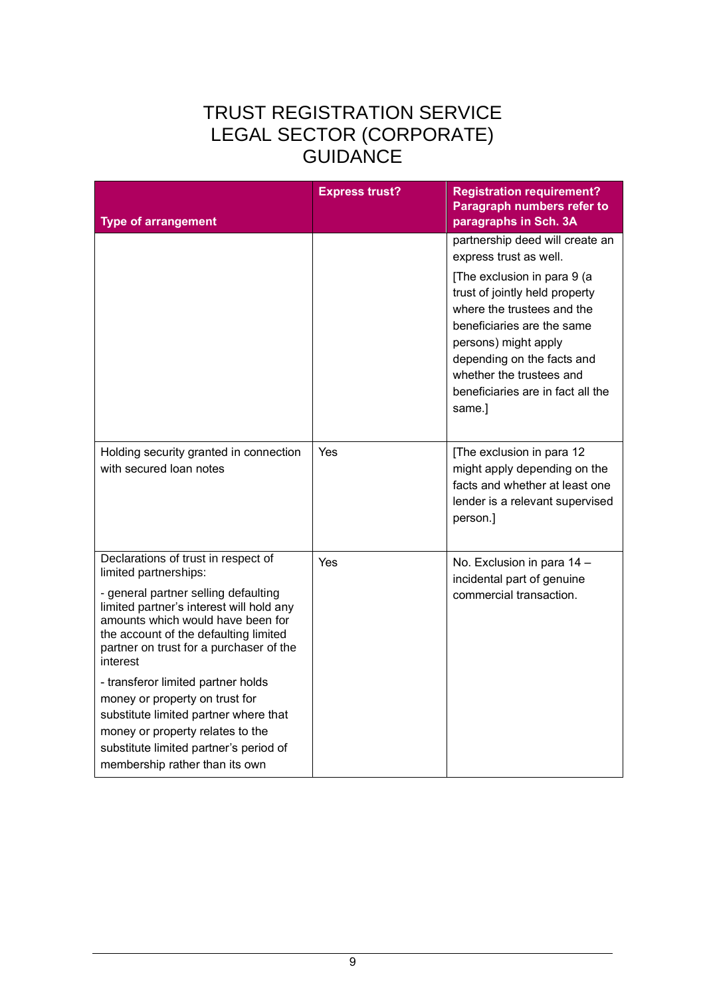| <b>Type of arrangement</b>                                                                                                                                                                                                                                                                                                                                                                                                                                                                                             | <b>Express trust?</b> | <b>Registration requirement?</b><br>Paragraph numbers refer to<br>paragraphs in Sch. 3A                                                                                                                                                                                                                                 |
|------------------------------------------------------------------------------------------------------------------------------------------------------------------------------------------------------------------------------------------------------------------------------------------------------------------------------------------------------------------------------------------------------------------------------------------------------------------------------------------------------------------------|-----------------------|-------------------------------------------------------------------------------------------------------------------------------------------------------------------------------------------------------------------------------------------------------------------------------------------------------------------------|
|                                                                                                                                                                                                                                                                                                                                                                                                                                                                                                                        |                       | partnership deed will create an<br>express trust as well.<br>[The exclusion in para 9 (a<br>trust of jointly held property<br>where the trustees and the<br>beneficiaries are the same<br>persons) might apply<br>depending on the facts and<br>whether the trustees and<br>beneficiaries are in fact all the<br>same.] |
| Holding security granted in connection<br>with secured loan notes                                                                                                                                                                                                                                                                                                                                                                                                                                                      | <b>Yes</b>            | [The exclusion in para 12<br>might apply depending on the<br>facts and whether at least one<br>lender is a relevant supervised<br>person.]                                                                                                                                                                              |
| Declarations of trust in respect of<br>limited partnerships:<br>- general partner selling defaulting<br>limited partner's interest will hold any<br>amounts which would have been for<br>the account of the defaulting limited<br>partner on trust for a purchaser of the<br>interest<br>- transferor limited partner holds<br>money or property on trust for<br>substitute limited partner where that<br>money or property relates to the<br>substitute limited partner's period of<br>membership rather than its own | Yes                   | No. Exclusion in para 14 -<br>incidental part of genuine<br>commercial transaction.                                                                                                                                                                                                                                     |